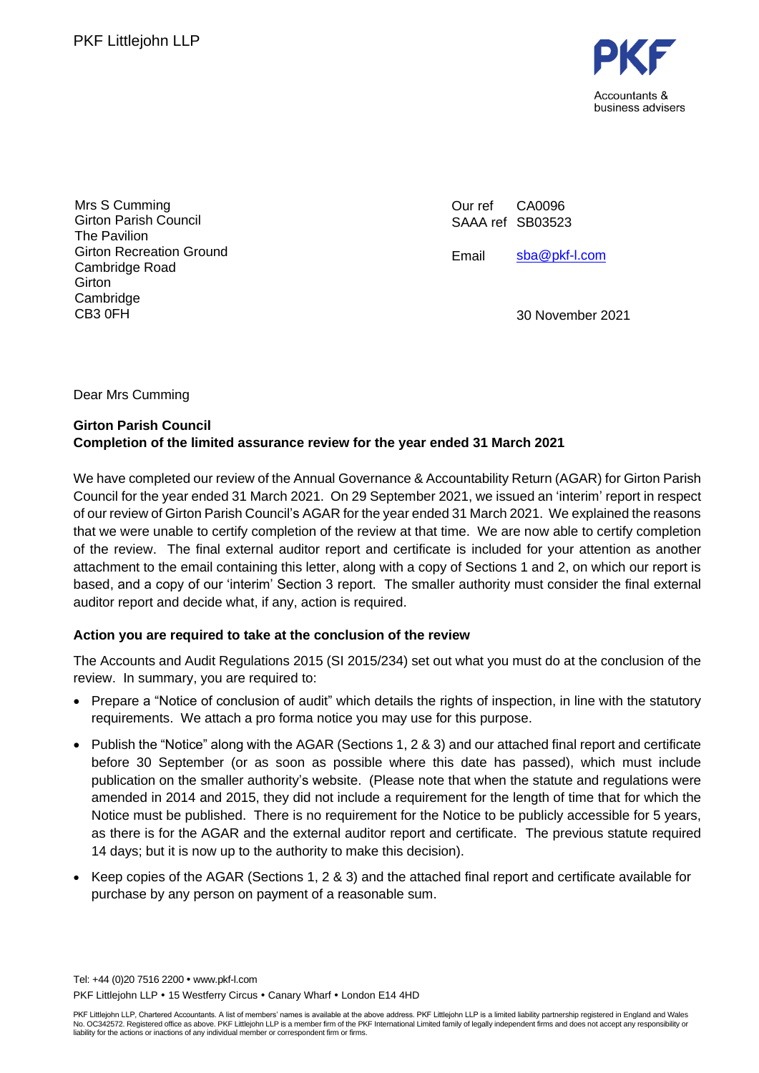

Mrs S Cumming Girton Parish Council The Pavilion Girton Recreation Ground Cambridge Road Girton Cambridge CB3 0FH

Our ref SAAA ref SB03523 CA0096

Email [sba@pkf-l.com](mailto:sba@pkf-l.com)

30 November 2021

Dear Mrs Cumming

### **Girton Parish Council Completion of the limited assurance review for the year ended 31 March 2021**

We have completed our review of the Annual Governance & Accountability Return (AGAR) for Girton Parish Council for the year ended 31 March 2021. On 29 September 2021, we issued an 'interim' report in respect of our review of Girton Parish Council's AGAR for the year ended 31 March 2021. We explained the reasons that we were unable to certify completion of the review at that time. We are now able to certify completion of the review. The final external auditor report and certificate is included for your attention as another attachment to the email containing this letter, along with a copy of Sections 1 and 2, on which our report is based, and a copy of our 'interim' Section 3 report. The smaller authority must consider the final external auditor report and decide what, if any, action is required.

### **Action you are required to take at the conclusion of the review**

The Accounts and Audit Regulations 2015 (SI 2015/234) set out what you must do at the conclusion of the review. In summary, you are required to:

- Prepare a "Notice of conclusion of audit" which details the rights of inspection, in line with the statutory requirements. We attach a pro forma notice you may use for this purpose.
- Publish the "Notice" along with the AGAR (Sections 1, 2 & 3) and our attached final report and certificate before 30 September (or as soon as possible where this date has passed), which must include publication on the smaller authority's website. (Please note that when the statute and regulations were amended in 2014 and 2015, they did not include a requirement for the length of time that for which the Notice must be published. There is no requirement for the Notice to be publicly accessible for 5 years, as there is for the AGAR and the external auditor report and certificate. The previous statute required 14 days; but it is now up to the authority to make this decision).
- Keep copies of the AGAR (Sections 1, 2 & 3) and the attached final report and certificate available for purchase by any person on payment of a reasonable sum.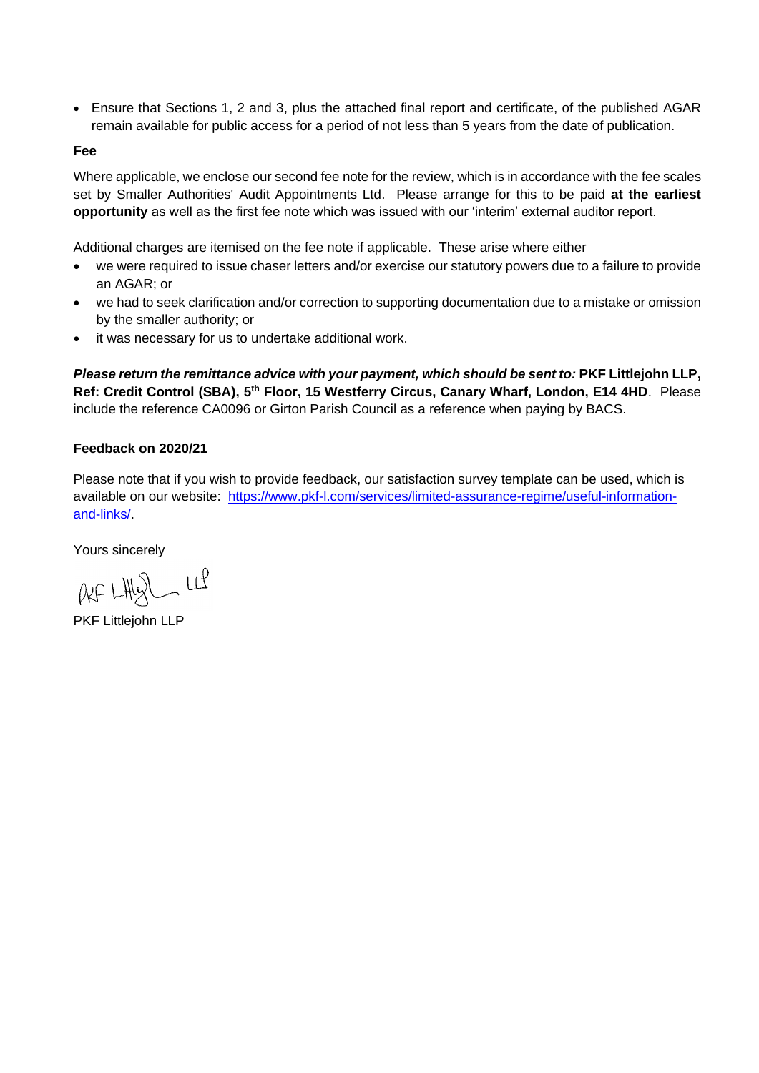• Ensure that Sections 1, 2 and 3, plus the attached final report and certificate, of the published AGAR remain available for public access for a period of not less than 5 years from the date of publication.

#### **Fee**

Where applicable, we enclose our second fee note for the review, which is in accordance with the fee scales set by Smaller Authorities' Audit Appointments Ltd. Please arrange for this to be paid **at the earliest opportunity** as well as the first fee note which was issued with our 'interim' external auditor report.

Additional charges are itemised on the fee note if applicable. These arise where either

- we were required to issue chaser letters and/or exercise our statutory powers due to a failure to provide an AGAR; or
- we had to seek clarification and/or correction to supporting documentation due to a mistake or omission by the smaller authority; or
- it was necessary for us to undertake additional work.

*Please return the remittance advice with your payment, which should be sent to:* **PKF Littlejohn LLP,**  Ref: Credit Control (SBA), 5<sup>th</sup> Floor, 15 Westferry Circus, Canary Wharf, London, E14 4HD. Please include the reference CA0096 or Girton Parish Council as a reference when paying by BACS.

#### **Feedback on 2020/21**

Please note that if you wish to provide feedback, our satisfaction survey template can be used, which is available on our website: [https://www.pkf-l.com/services/limited-assurance-regime/useful-information](https://www.pkf-l.com/services/limited-assurance-regime/useful-information-and-links/)[and-links/.](https://www.pkf-l.com/services/limited-assurance-regime/useful-information-and-links/)

Yours sincerely

 $AF$  LHy  $U$   $U$ 

PKF Littlejohn LLP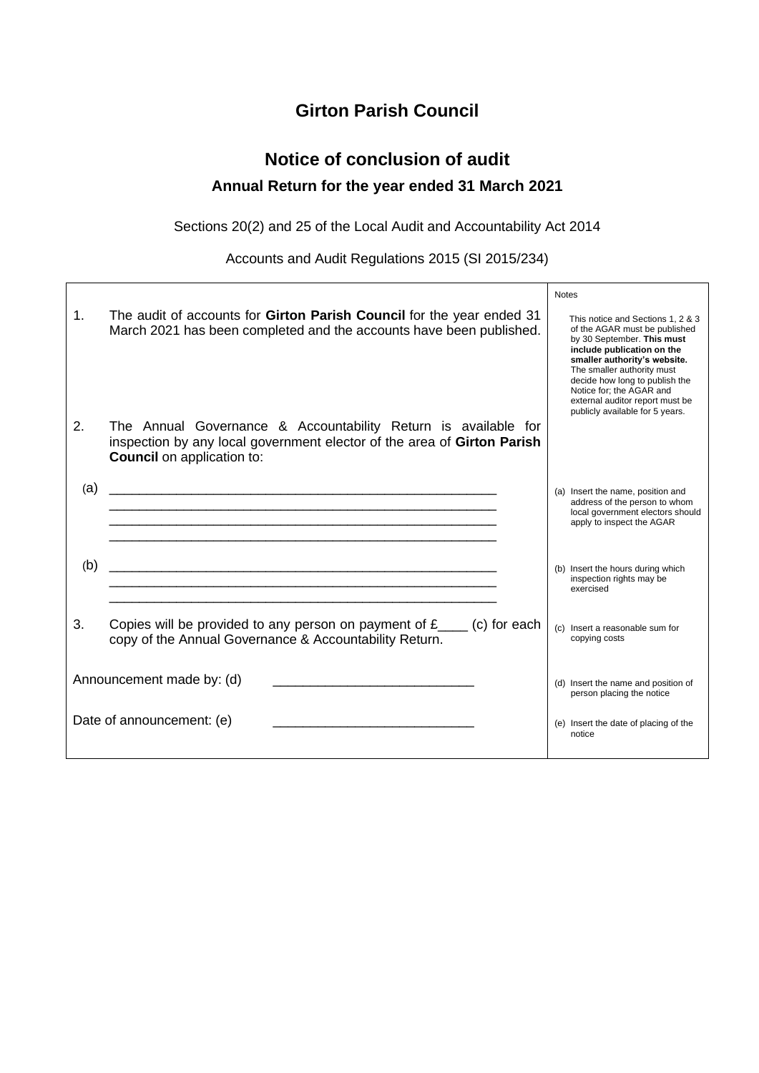## **Girton Parish Council**

# **Notice of conclusion of audit Annual Return for the year ended 31 March 2021**

Sections 20(2) and 25 of the Local Audit and Accountability Act 2014

Accounts and Audit Regulations 2015 (SI 2015/234)

|                           |                                                                                                                                                                                | <b>Notes</b> |                                                                                                                                                                                                                                                                                                                                  |
|---------------------------|--------------------------------------------------------------------------------------------------------------------------------------------------------------------------------|--------------|----------------------------------------------------------------------------------------------------------------------------------------------------------------------------------------------------------------------------------------------------------------------------------------------------------------------------------|
| $\mathbf{1}$ .            | The audit of accounts for Girton Parish Council for the year ended 31<br>March 2021 has been completed and the accounts have been published.                                   |              | This notice and Sections 1, 2 & 3<br>of the AGAR must be published<br>by 30 September. This must<br>include publication on the<br>smaller authority's website.<br>The smaller authority must<br>decide how long to publish the<br>Notice for: the AGAR and<br>external auditor report must be<br>publicly available for 5 years. |
| 2.                        | The Annual Governance & Accountability Return is available for<br>inspection by any local government elector of the area of Girton Parish<br><b>Council</b> on application to: |              |                                                                                                                                                                                                                                                                                                                                  |
| (a)                       |                                                                                                                                                                                |              | (a) Insert the name, position and<br>address of the person to whom<br>local government electors should<br>apply to inspect the AGAR                                                                                                                                                                                              |
| (b)                       |                                                                                                                                                                                |              | (b) Insert the hours during which<br>inspection rights may be<br>exercised                                                                                                                                                                                                                                                       |
| 3.                        | Copies will be provided to any person on payment of $f_{\text{max}}$ (c) for each<br>copy of the Annual Governance & Accountability Return.                                    |              | (c) Insert a reasonable sum for<br>copying costs                                                                                                                                                                                                                                                                                 |
| Announcement made by: (d) |                                                                                                                                                                                |              | (d) Insert the name and position of<br>person placing the notice                                                                                                                                                                                                                                                                 |
|                           | Date of announcement: (e)                                                                                                                                                      |              | (e) Insert the date of placing of the<br>notice                                                                                                                                                                                                                                                                                  |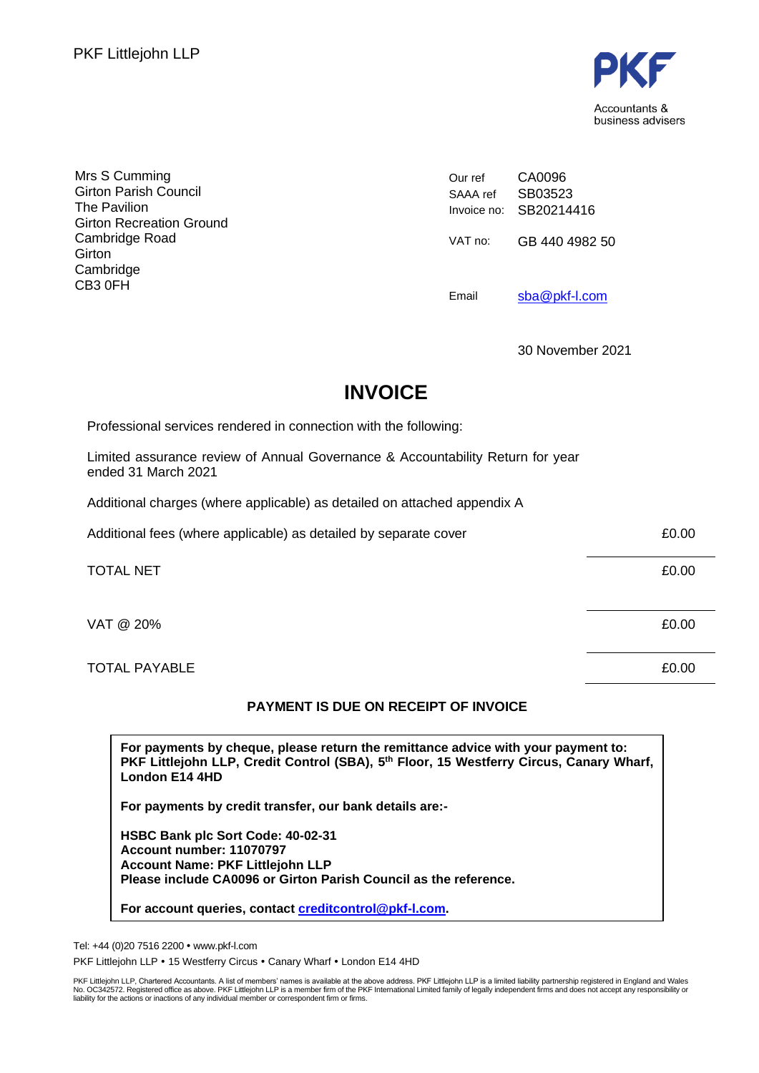

| Mrs S Cumming<br><b>Girton Parish Council</b><br>The Pavilion            | Our ref<br>SAAA ref | CA0096<br>SB03523<br>Invoice no: SB20214416 |
|--------------------------------------------------------------------------|---------------------|---------------------------------------------|
| <b>Girton Recreation Ground</b><br>Cambridge Road<br>Girton<br>Cambridge | VAT no:             | GB 440 4982 50                              |
| CB3 0FH                                                                  | Email               | sba@pkf-l.com                               |

30 November 2021

# **INVOICE**

Professional services rendered in connection with the following:

Limited assurance review of Annual Governance & Accountability Return for year ended 31 March 2021

Additional charges (where applicable) as detailed on attached appendix A

| Additional fees (where applicable) as detailed by separate cover | £0.00 |
|------------------------------------------------------------------|-------|
| <b>TOTAL NET</b>                                                 | £0.00 |
| VAT @ 20%                                                        | £0.00 |
| <b>TOTAL PAYABLE</b>                                             | £0.00 |

### **PAYMENT IS DUE ON RECEIPT OF INVOICE**

**For payments by cheque, please return the remittance advice with your payment to: PKF Littlejohn LLP, Credit Control (SBA), 5 th Floor, 15 Westferry Circus, Canary Wharf, London E14 4HD**

**For payments by credit transfer, our bank details are:-**

**HSBC Bank plc Sort Code: 40-02-31 Account number: 11070797 Account Name: PKF Littlejohn LLP Please include CA0096 or Girton Parish Council as the reference.**

**For account queries, contact [creditcontrol@pkf-l.com.](mailto:creditcontrol@pkf-l.com)**

Tel: +44 (0)20 7516 2200 www.pkf-l.com

PKF Littlejohn LLP • 15 Westferry Circus • Canary Wharf • London E14 4HD

PKF Littlejohn LLP, Chartered Accountants. A list of members' names is available at the above address. PKF Littlejohn LLP is a limited liability partnership registered in England and Wales<br>No. OC342572. Registered office a